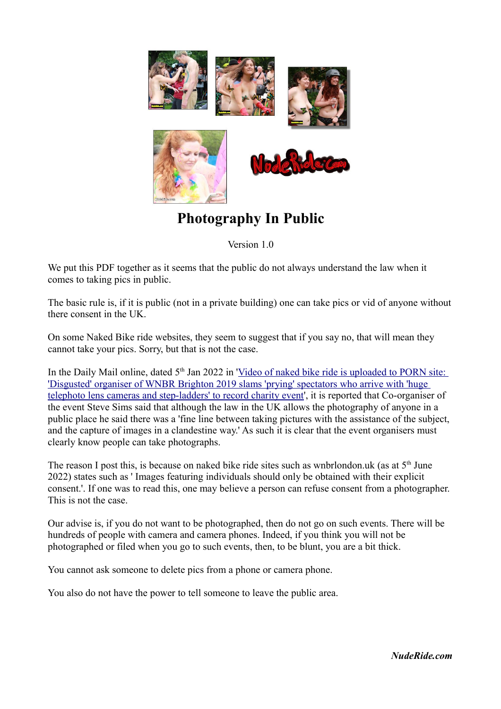

## **Photography In Public**

Version 1.0

We put this PDF together as it seems that the public do not always understand the law when it comes to taking pics in public.

The basic rule is, if it is public (not in a private building) one can take pics or vid of anyone without there consent in the UK.

On some Naked Bike ride websites, they seem to suggest that if you say no, that will mean they cannot take your pics. Sorry, but that is not the case.

In the Daily Mail online, dated 5<sup>th</sup> Jan 2022 in 'Video of naked bike ride is uploaded to PORN site: ['Disgusted' organiser of WNBR Brighton 2019 slams 'prying' spectators who arrive with 'huge](https://www.dailymail.co.uk/news/article-10372187/Organiser-slams-prying-spectators-clip-naked-bike-ride-uploaded-PORN-site.html)  [telephoto lens cameras and step-ladders' to record charity event'](https://www.dailymail.co.uk/news/article-10372187/Organiser-slams-prying-spectators-clip-naked-bike-ride-uploaded-PORN-site.html), it is reported that Co-organiser of the event Steve Sims said that although the law in the UK allows the photography of anyone in a public place he said there was a 'fine line between taking pictures with the assistance of the subject, and the capture of images in a clandestine way.' As such it is clear that the event organisers must clearly know people can take photographs.

The reason I post this, is because on naked bike ride sites such as wnbrlondon.uk (as at  $5<sup>th</sup>$  June 2022) states such as ' Images featuring individuals should only be obtained with their explicit consent.'. If one was to read this, one may believe a person can refuse consent from a photographer. This is not the case.

Our advise is, if you do not want to be photographed, then do not go on such events. There will be hundreds of people with camera and camera phones. Indeed, if you think you will not be photographed or filed when you go to such events, then, to be blunt, you are a bit thick.

You cannot ask someone to delete pics from a phone or camera phone.

You also do not have the power to tell someone to leave the public area.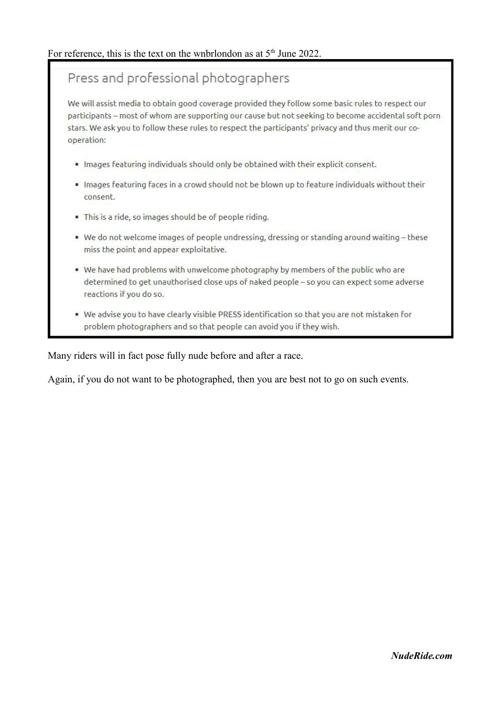## Press and professional photographers

We will assist media to obtain good coverage provided they follow some basic rules to respect our participants - most of whom are supporting our cause but not seeking to become accidental soft porn stars. We ask you to follow these rules to respect the participants' privacy and thus merit our cooperation:

- · Images featuring individuals should only be obtained with their explicit consent.
- Images featuring faces in a crowd should not be blown up to feature individuals without their consent.
- This is a ride, so images should be of people riding.
- We do not welcome images of people undressing, dressing or standing around waiting these miss the point and appear exploitative.
- " We have had problems with unwelcome photography by members of the public who are determined to get unauthorised close ups of naked people - so you can expect some adverse reactions if you do so.
- . We advise you to have clearly visible PRESS identification so that you are not mistaken for problem photographers and so that people can avoid you if they wish.

Many riders will in fact pose fully nude before and after a race.

Again, if you do not want to be photographed, then you are best not to go on such events.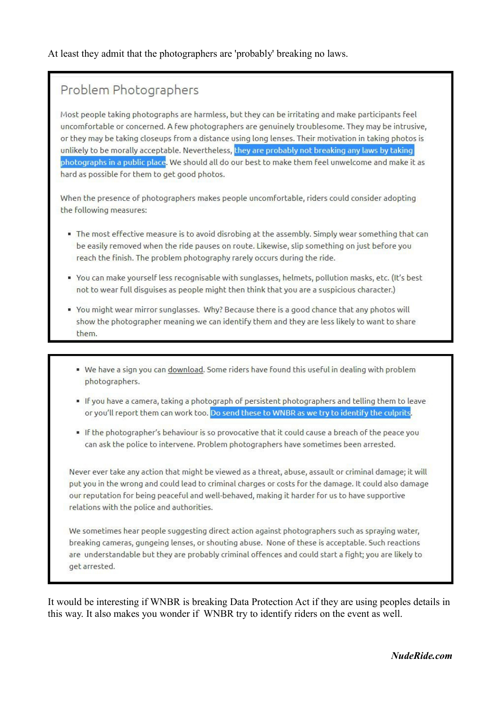## Problem Photographers

Most people taking photographs are harmless, but they can be irritating and make participants feel uncomfortable or concerned. A few photographers are genuinely troublesome. They may be intrusive, or they may be taking closeups from a distance using long lenses. Their motivation in taking photos is unlikely to be morally acceptable. Nevertheless, they are probably not breaking any laws by taking photographs in a public place. We should all do our best to make them feel unwelcome and make it as hard as possible for them to get good photos.

When the presence of photographers makes people uncomfortable, riders could consider adopting the following measures:

- . The most effective measure is to avoid disrobing at the assembly. Simply wear something that can be easily removed when the ride pauses on route. Likewise, slip something on just before you reach the finish. The problem photography rarely occurs during the ride.
- You can make yourself less recognisable with sunglasses, helmets, pollution masks, etc. (It's best not to wear full disguises as people might then think that you are a suspicious character.)
- You might wear mirror sunglasses. Why? Because there is a good chance that any photos will show the photographer meaning we can identify them and they are less likely to want to share them.
	- . We have a sign you can download. Some riders have found this useful in dealing with problem photographers.
	- . If you have a camera, taking a photograph of persistent photographers and telling them to leave or you'll report them can work too. Do send these to WNBR as we try to identify the culprits.
	- . If the photographer's behaviour is so provocative that it could cause a breach of the peace you can ask the police to intervene. Problem photographers have sometimes been arrested.

Never ever take any action that might be viewed as a threat, abuse, assault or criminal damage; it will put you in the wrong and could lead to criminal charges or costs for the damage. It could also damage our reputation for being peaceful and well-behaved, making it harder for us to have supportive relations with the police and authorities.

We sometimes hear people suggesting direct action against photographers such as spraying water, breaking cameras, gungeing lenses, or shouting abuse. None of these is acceptable. Such reactions are understandable but they are probably criminal offences and could start a fight; you are likely to get arrested.

It would be interesting if WNBR is breaking Data Protection Act if they are using peoples details in this way. It also makes you wonder if WNBR try to identify riders on the event as well.

NudeRide.com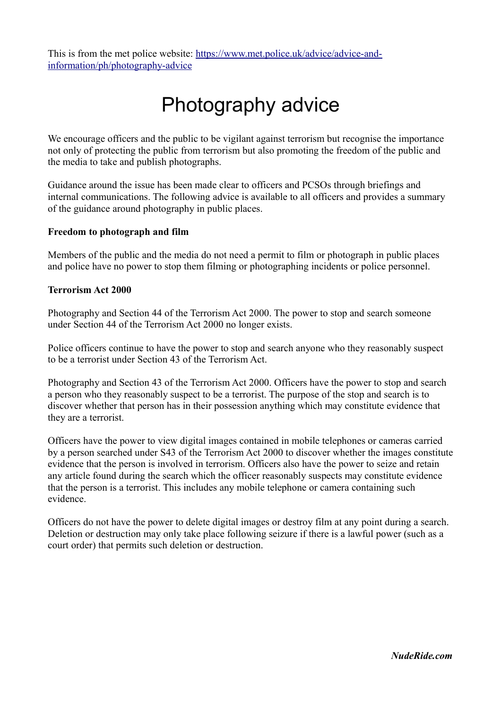This is from the met police website: [https://www.met.police.uk/advice/advice-and](https://www.met.police.uk/advice/advice-and-information/ph/photography-advice)[information/ph/photography-advice](https://www.met.police.uk/advice/advice-and-information/ph/photography-advice)

# Photography advice

We encourage officers and the public to be vigilant against terrorism but recognise the importance not only of protecting the public from terrorism but also promoting the freedom of the public and the media to take and publish photographs.

Guidance around the issue has been made clear to officers and PCSOs through briefings and internal communications. The following advice is available to all officers and provides a summary of the guidance around photography in public places.

#### **Freedom to photograph and film**

Members of the public and the media do not need a permit to film or photograph in public places and police have no power to stop them filming or photographing incidents or police personnel.

#### **Terrorism Act 2000**

Photography and Section 44 of the Terrorism Act 2000. The power to stop and search someone under Section 44 of the Terrorism Act 2000 no longer exists.

Police officers continue to have the power to stop and search anyone who they reasonably suspect to be a terrorist under Section 43 of the Terrorism Act.

Photography and Section 43 of the Terrorism Act 2000. Officers have the power to stop and search a person who they reasonably suspect to be a terrorist. The purpose of the stop and search is to discover whether that person has in their possession anything which may constitute evidence that they are a terrorist.

Officers have the power to view digital images contained in mobile telephones or cameras carried by a person searched under S43 of the Terrorism Act 2000 to discover whether the images constitute evidence that the person is involved in terrorism. Officers also have the power to seize and retain any article found during the search which the officer reasonably suspects may constitute evidence that the person is a terrorist. This includes any mobile telephone or camera containing such evidence.

Officers do not have the power to delete digital images or destroy film at any point during a search. Deletion or destruction may only take place following seizure if there is a lawful power (such as a court order) that permits such deletion or destruction.